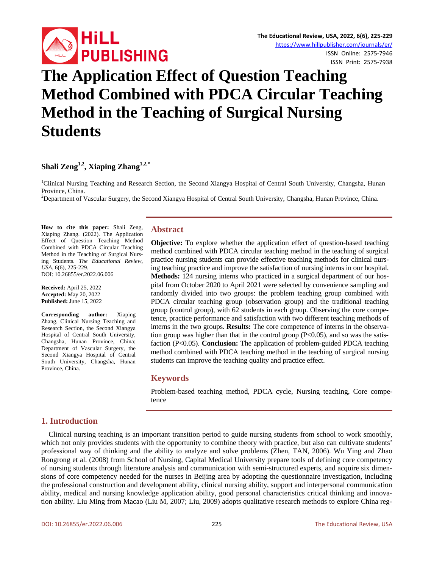

# **The Application Effect of Question Teaching Method Combined with PDCA Circular Teaching Method in the Teaching of Surgical Nursing Students**

## **Shali Zeng1,2 , Xiaping Zhang1,2,\***

<sup>1</sup>Clinical Nursing Teaching and Research Section, the Second Xiangya Hospital of Central South University, Changsha, Hunan Province, China.

<sup>2</sup>Department of Vascular Surgery, the Second Xiangya Hospital of Central South University, Changsha, Hunan Province, China.

**How to cite this paper:** Shali Zeng, Xiaping Zhang. (2022). The Application Effect of Question Teaching Method Combined with PDCA Circular Teaching Method in the Teaching of Surgical Nursing Students. *The Educational Review, USA*, 6(6), 225-229. DOI: 10.26855/er.2022.06.006

**Received:** April 25, 2022 **Accepted:** May 20, 2022 **Published:** June 15, 2022

**Corresponding author:** Xiaping Zhang, Clinical Nursing Teaching and Research Section, the Second Xiangya Hospital of Central South University, Changsha, Hunan Province, China; Department of Vascular Surgery, the Second Xiangya Hospital of Central South University, Changsha, Hunan Province, China.

#### **Abstract**

**Objective:** To explore whether the application effect of question-based teaching method combined with PDCA circular teaching method in the teaching of surgical practice nursing students can provide effective teaching methods for clinical nursing teaching practice and improve the satisfaction of nursing interns in our hospital. **Methods:** 124 nursing interns who practiced in a surgical department of our hospital from October 2020 to April 2021 were selected by convenience sampling and randomly divided into two groups: the problem teaching group combined with PDCA circular teaching group (observation group) and the traditional teaching group (control group), with 62 students in each group. Observing the core competence, practice performance and satisfaction with two different teaching methods of interns in the two groups. **Results:** The core competence of interns in the observation group was higher than that in the control group  $(P<0.05)$ , and so was the satisfaction (P<0.05). **Conclusion:** The application of problem-guided PDCA teaching method combined with PDCA teaching method in the teaching of surgical nursing students can improve the teaching quality and practice effect.

## **Keywords**

Problem-based teaching method, PDCA cycle, Nursing teaching, Core competence

## **1. Introduction**

Clinical nursing teaching is an important transition period to guide nursing students from school to work smoothly, which not only provides students with the opportunity to combine theory with practice, but also can cultivate students' professional way of thinking and the ability to analyze and solve problems (Zhen, TAN, 2006). Wu Ying and Zhao Rongrong et al. (2008) from School of Nursing, Capital Medical University prepare tools of defining core competency of nursing students through literature analysis and communication with semi-structured experts, and acquire six dimensions of core competency needed for the nurses in Beijing area by adopting the questionnaire investigation, including the professional construction and development ability, clinical nursing ability, support and interpersonal communication ability, medical and nursing knowledge application ability, good personal characteristics critical thinking and innovation ability. Liu Ming from Macao (Liu M, 2007; Liu, 2009) adopts qualitative research methods to explore China reg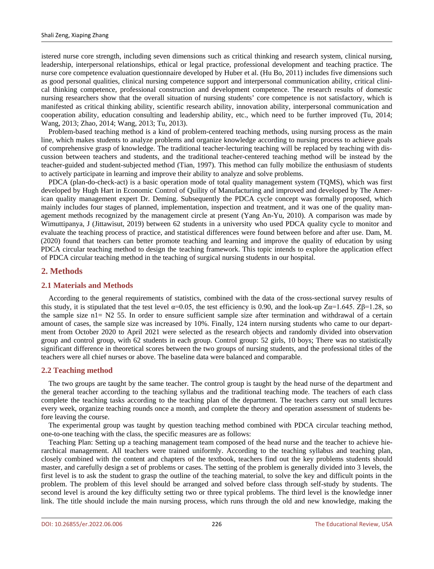istered nurse core strength, including seven dimensions such as critical thinking and research system, clinical nursing, leadership, interpersonal relationships, ethical or legal practice, professional development and teaching practice. The nurse core competence evaluation questionnaire developed by Huber et al. (Hu Bo, 2011) includes five dimensions such as good personal qualities, clinical nursing competence support and interpersonal communication ability, critical clinical thinking competence, professional construction and development competence. The research results of domestic nursing researchers show that the overall situation of nursing students' core competence is not satisfactory, which is manifested as critical thinking ability, scientific research ability, innovation ability, interpersonal communication and cooperation ability, education consulting and leadership ability, etc., which need to be further improved (Tu, 2014; Wang, 2013; Zhao, 2014; Wang, 2013; Tu, 2013).

Problem-based teaching method is a kind of problem-centered teaching methods, using nursing process as the main line, which makes students to analyze problems and organize knowledge according to nursing process to achieve goals of comprehensive grasp of knowledge. The traditional teacher-lecturing teaching will be replaced by teaching with discussion between teachers and students, and the traditional teacher-centered teaching method will be instead by the teacher-guided and student-subjected method (Tian, 1997). This method can fully mobilize the enthusiasm of students to actively participate in learning and improve their ability to analyze and solve problems.

PDCA (plan-do-check-act) is a basic operation mode of total quality management system (TQMS), which was first developed by Hugh Hart in Economic Control of Quility of Manufacturing and improved and developed by The American quality management expert Dr. Deming. Subsequently the PDCA cycle concept was formally proposed, which mainly includes four stages of planned, implementation, inspection and treatment, and it was one of the quality management methods recognized by the management circle at present (Yang An-Yu, 2010). A comparison was made by Wimuttipanya, J (Jittawisut, 2019) between 62 students in a university who used PDCA quality cycle to monitor and evaluate the teaching process of practice, and statistical differences were found between before and after use. Dam, M. (2020) found that teachers can better promote teaching and learning and improve the quality of education by using PDCA circular teaching method to design the teaching framework. This topic intends to explore the application effect of PDCA circular teaching method in the teaching of surgical nursing students in our hospital.

## **2. Methods**

#### **2.1 Materials and Methods**

According to the general requirements of statistics, combined with the data of the cross-sectional survey results of this study, it is stipulated that the test level  $\alpha$ =0.05, the test efficiency is 0.90, and the look-up Zα=1.645. Zβ=1.28, so the sample size n1= N2 55. In order to ensure sufficient sample size after termination and withdrawal of a certain amount of cases, the sample size was increased by 10%. Finally, 124 intern nursing students who came to our department from October 2020 to April 2021 were selected as the research objects and randomly divided into observation group and control group, with 62 students in each group. Control group: 52 girls, 10 boys; There was no statistically significant difference in theoretical scores between the two groups of nursing students, and the professional titles of the teachers were all chief nurses or above. The baseline data were balanced and comparable.

#### **2.2 Teaching method**

The two groups are taught by the same teacher. The control group is taught by the head nurse of the department and the general teacher according to the teaching syllabus and the traditional teaching mode. The teachers of each class complete the teaching tasks according to the teaching plan of the department. The teachers carry out small lectures every week, organize teaching rounds once a month, and complete the theory and operation assessment of students before leaving the course.

The experimental group was taught by question teaching method combined with PDCA circular teaching method, one-to-one teaching with the class, the specific measures are as follows:

Teaching Plan: Setting up a teaching management team composed of the head nurse and the teacher to achieve hierarchical management. All teachers were trained uniformly. According to the teaching syllabus and teaching plan, closely combined with the content and chapters of the textbook, teachers find out the key problems students should master, and carefully design a set of problems or cases. The setting of the problem is generally divided into 3 levels, the first level is to ask the student to grasp the outline of the teaching material, to solve the key and difficult points in the problem. The problem of this level should be arranged and solved before class through self-study by students. The second level is around the key difficulty setting two or three typical problems. The third level is the knowledge inner link. The title should include the main nursing process, which runs through the old and new knowledge, making the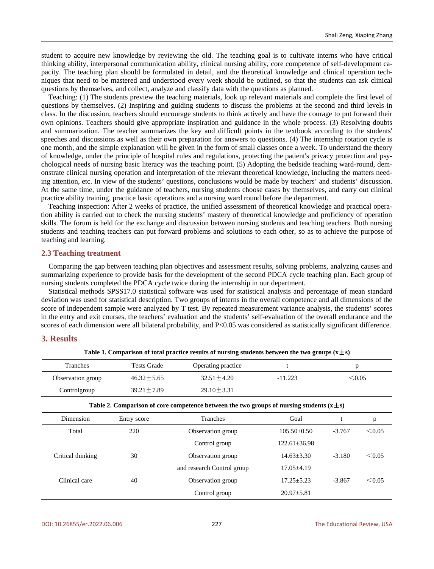student to acquire new knowledge by reviewing the old. The teaching goal is to cultivate interns who have critical thinking ability, interpersonal communication ability, clinical nursing ability, core competence of self-development capacity. The teaching plan should be formulated in detail, and the theoretical knowledge and clinical operation techniques that need to be mastered and understood every week should be outlined, so that the students can ask clinical questions by themselves, and collect, analyze and classify data with the questions as planned.

Teaching: (1) The students preview the teaching materials, look up relevant materials and complete the first level of questions by themselves. (2) Inspiring and guiding students to discuss the problems at the second and third levels in class. In the discussion, teachers should encourage students to think actively and have the courage to put forward their own opinions. Teachers should give appropriate inspiration and guidance in the whole process. (3) Resolving doubts and summarization. The teacher summarizes the key and difficult points in the textbook according to the students' speeches and discussions as well as their own preparation for answers to questions. (4) The internship rotation cycle is one month, and the simple explanation will be given in the form of small classes once a week. To understand the theory of knowledge, under the principle of hospital rules and regulations, protecting the patient's privacy protection and psychological needs of nursing basic literacy was the teaching point. (5) Adopting the bedside teaching ward-round, demonstrate clinical nursing operation and interpretation of the relevant theoretical knowledge, including the matters needing attention, etc. In view of the students' questions, conclusions would be made by teachers' and students' discussion. At the same time, under the guidance of teachers, nursing students choose cases by themselves, and carry out clinical practice ability training, practice basic operations and a nursing ward round before the department.

Teaching inspection: After 2 weeks of practice, the unified assessment of theoretical knowledge and practical operation ability is carried out to check the nursing students' mastery of theoretical knowledge and proficiency of operation skills. The forum is held for the exchange and discussion between nursing students and teaching teachers. Both nursing students and teaching teachers can put forward problems and solutions to each other, so as to achieve the purpose of teaching and learning.

#### **2.3 Teaching treatment**

Comparing the gap between teaching plan objectives and assessment results, solving problems, analyzing causes and summarizing experience to provide basis for the development of the second PDCA cycle teaching plan. Each group of nursing students completed the PDCA cycle twice during the internship in our department.

Statistical methods SPSS17.0 statistical software was used for statistical analysis and percentage of mean standard deviation was used for statistical description. Two groups of interns in the overall competence and all dimensions of the score of independent sample were analyzed by T test. By repeated measurement variance analysis, the students' scores in the entry and exit courses, the teachers' evaluation and the students' self-evaluation of the overall endurance and the scores of each dimension were all bilateral probability, and P<0.05 was considered as statistically significant difference.

#### **3. Results**

| Tranches                                                                                      | <b>Tests Grade</b> | Operating practice         | t                  | p        |        |  |  |  |
|-----------------------------------------------------------------------------------------------|--------------------|----------------------------|--------------------|----------|--------|--|--|--|
| Observation group                                                                             | $46.32 \pm 5.65$   | $32.51 \pm 4.20$           | $-11.223$          | < 0.05   |        |  |  |  |
| Controlgroup                                                                                  | $39.21 \pm 7.89$   | $29.10 \pm 3.31$           |                    |          |        |  |  |  |
| Table 2. Comparison of core competence between the two groups of nursing students $(x \pm s)$ |                    |                            |                    |          |        |  |  |  |
| Dimension                                                                                     | Entry score        | Tranches                   | Goal               |          | p      |  |  |  |
| Total                                                                                         | 220                | Observation group          | $105.50 \pm 0.50$  | $-3.767$ | < 0.05 |  |  |  |
|                                                                                               |                    | Control group              | $122.61 \pm 36.98$ |          |        |  |  |  |
| Critical thinking                                                                             | 30                 | Observation group          | $14.63 \pm 3.30$   | $-3.180$ | < 0.05 |  |  |  |
|                                                                                               |                    | and research Control group | $17.05 \pm 4.19$   |          |        |  |  |  |
| Clinical care                                                                                 | 40                 | Observation group          | $17.25 \pm 5.23$   | $-3.867$ | < 0.05 |  |  |  |
|                                                                                               |                    | Control group              | $20.97 \pm 5.81$   |          |        |  |  |  |

#### **Table 1. Comparison of total practice results of nursing students between the two groups (x**±**s)**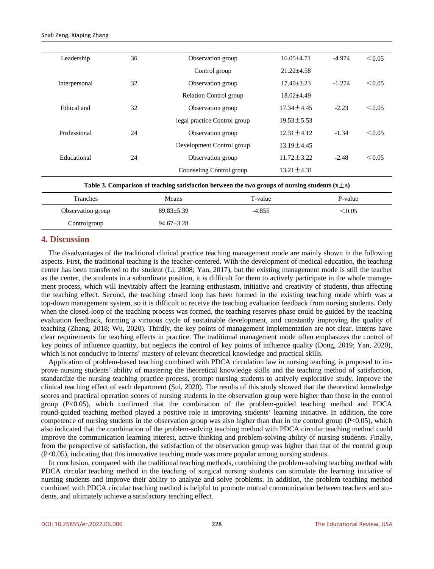Shali Zeng, Xiaping Zhang

| Leadership    | 36 | Observation group             | $16.05 + 4.71$ | -4.974   | $\leq 0.05$ |
|---------------|----|-------------------------------|----------------|----------|-------------|
|               |    | Control group                 | $21.22 + 4.58$ |          |             |
| Interpersonal | 32 | Observation group             | $17.40 + 3.23$ | $-1.274$ | < 0.05      |
|               |    | <b>Relation Control group</b> | $18.02 + 4.49$ |          |             |
| Ethical and   | 32 | Observation group             | $17.34 + 4.45$ | $-2.23$  | < 0.05      |
|               |    | legal practice Control group  | $19.53 + 5.53$ |          |             |
| Professional  | 24 | Observation group             | $12.31 + 4.12$ | $-1.34$  | < 0.05      |
|               |    | Development Control group     | $13.19 + 4.45$ |          |             |
| Educational   | 24 | Observation group             | $11.72 + 3.22$ | $-2.48$  | < 0.05      |
|               |    | Counseling Control group      | $13.21 + 4.31$ |          |             |
|               |    |                               |                |          |             |

**Table 3. Comparison of teaching satisfaction between the two groups of nursing students**  $(x \pm s)$ 

| Tranches          | Means          | T-value  | P-value |
|-------------------|----------------|----------|---------|
| Observation group | $89.83 + 5.39$ | $-4.855$ | < 0.05  |
| Controlgroup      | $94.67 + 3.28$ |          |         |

## **4. Discussion**

The disadvantages of the traditional clinical practice teaching management mode are mainly shown in the following aspects. First, the traditional teaching is the teacher-centered. With the development of medical education, the teaching center has been transferred to the student (Li, 2008; Yan, 2017), but the existing management mode is still the teacher as the center, the students in a subordinate position, it is difficult for them to actively participate in the whole management process, which will inevitably affect the learning enthusiasm, initiative and creativity of students, thus affecting the teaching effect. Second, the teaching closed loop has been formed in the existing teaching mode which was a top-down management system, so it is difficult to receive the teaching evaluation feedback from nursing students. Only when the closed-loop of the teaching process was formed, the teaching reserves phase could be guided by the teaching evaluation feedback, forming a virtuous cycle of sustainable development, and constantly improving the quality of teaching (Zhang, 2018; Wu, 2020). Thirdly, the key points of management implementation are not clear. Interns have clear requirements for teaching effects in practice. The traditional management mode often emphasizes the control of key points of influence quantity, but neglects the control of key points of influence quality (Dong, 2019; Yan, 2020), which is not conducive to interns' mastery of relevant theoretical knowledge and practical skills.

Application of problem-based teaching combined with PDCA circulation law in nursing teaching, is proposed to improve nursing students' ability of mastering the theoretical knowledge skills and the teaching method of satisfaction, standardize the nursing teaching practice process, prompt nursing students to actively explorative study, improve the clinical teaching effect of each department (Sui, 2020). The results of this study showed that the theoretical knowledge scores and practical operation scores of nursing students in the observation group were higher than those in the control group (P<0.05), which confirmed that the combination of the problem-guided teaching method and PDCA round-guided teaching method played a positive role in improving students' learning initiative. In addition, the core competence of nursing students in the observation group was also higher than that in the control group  $(P<0.05)$ , which also indicated that the combination of the problem-solving teaching method with PDCA circular teaching method could improve the communication learning interest, active thinking and problem-solving ability of nursing students. Finally, from the perspective of satisfaction, the satisfaction of the observation group was higher than that of the control group (P<0.05), indicating that this innovative teaching mode was more popular among nursing students.

In conclusion, compared with the traditional teaching methods, combining the problem-solving teaching method with PDCA circular teaching method in the teaching of surgical nursing students can stimulate the learning initiative of nursing students and improve their ability to analyze and solve problems. In addition, the problem teaching method combined with PDCA circular teaching method is helpful to promote mutual communication between teachers and students, and ultimately achieve a satisfactory teaching effect.